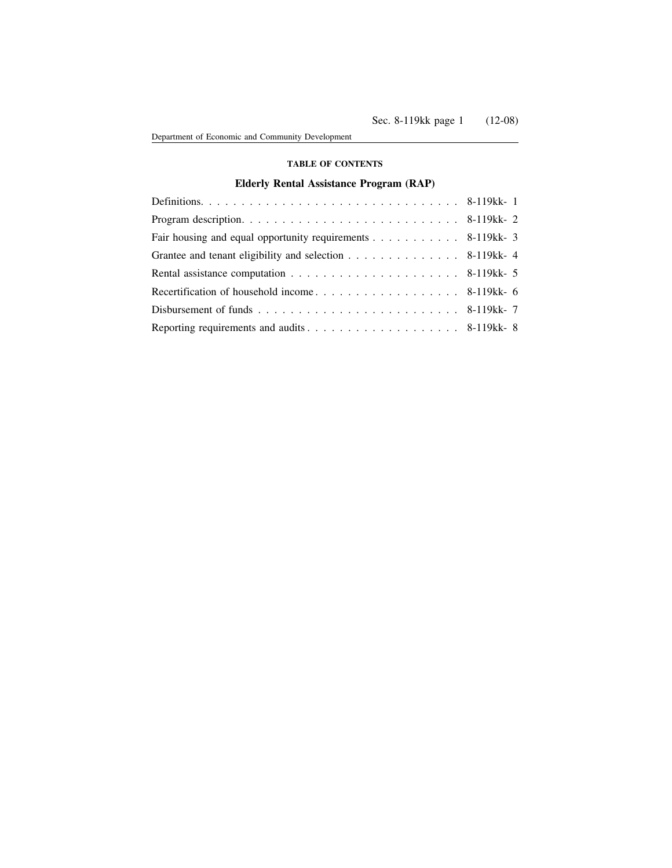# **TABLE OF CONTENTS**

# **Elderly Rental Assistance Program (RAP)**

| Fair housing and equal opportunity requirements 8-119kk-3 |  |
|-----------------------------------------------------------|--|
| Grantee and tenant eligibility and selection 8-119kk-4    |  |
|                                                           |  |
|                                                           |  |
|                                                           |  |
|                                                           |  |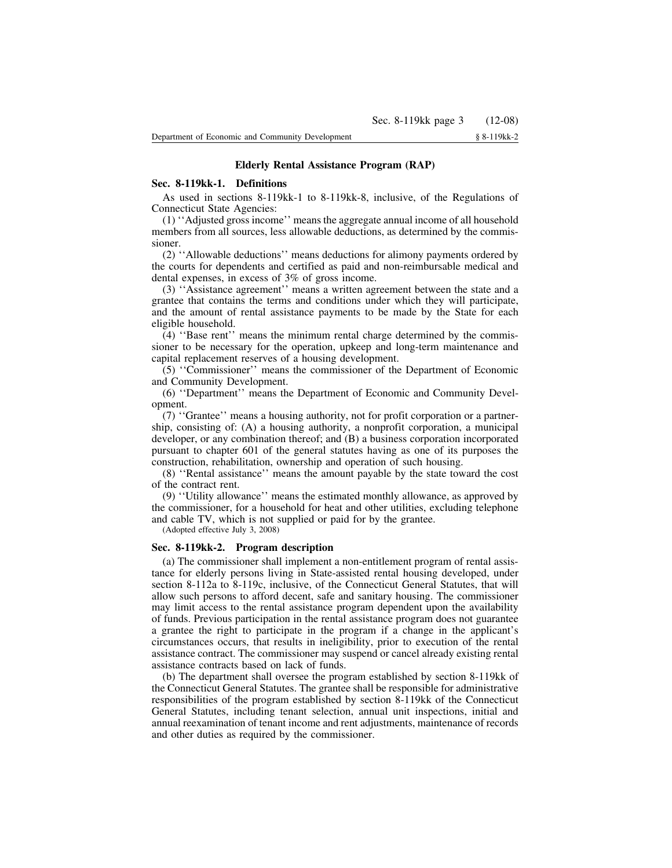# **Elderly Rental Assistance Program (RAP)**

### **Sec. 8-119kk-1. Definitions**

As used in sections 8-119kk-1 to 8-119kk-8, inclusive, of the Regulations of Connecticut State Agencies:

(1) ''Adjusted gross income'' means the aggregate annual income of all household members from all sources, less allowable deductions, as determined by the commissioner.

(2) ''Allowable deductions'' means deductions for alimony payments ordered by the courts for dependents and certified as paid and non-reimbursable medical and dental expenses, in excess of 3% of gross income.

(3) ''Assistance agreement'' means a written agreement between the state and a grantee that contains the terms and conditions under which they will participate, and the amount of rental assistance payments to be made by the State for each eligible household.

(4) ''Base rent'' means the minimum rental charge determined by the commissioner to be necessary for the operation, upkeep and long-term maintenance and capital replacement reserves of a housing development.

(5) ''Commissioner'' means the commissioner of the Department of Economic and Community Development.

(6) ''Department'' means the Department of Economic and Community Development.

(7) ''Grantee'' means a housing authority, not for profit corporation or a partnership, consisting of: (A) a housing authority, a nonprofit corporation, a municipal developer, or any combination thereof; and (B) a business corporation incorporated pursuant to chapter 601 of the general statutes having as one of its purposes the construction, rehabilitation, ownership and operation of such housing.

(8) ''Rental assistance'' means the amount payable by the state toward the cost of the contract rent.

(9) ''Utility allowance'' means the estimated monthly allowance, as approved by the commissioner, for a household for heat and other utilities, excluding telephone and cable TV, which is not supplied or paid for by the grantee.

(Adopted effective July 3, 2008)

### **Sec. 8-119kk-2. Program description**

(a) The commissioner shall implement a non-entitlement program of rental assistance for elderly persons living in State-assisted rental housing developed, under section 8-112a to 8-119c, inclusive, of the Connecticut General Statutes, that will allow such persons to afford decent, safe and sanitary housing. The commissioner may limit access to the rental assistance program dependent upon the availability of funds. Previous participation in the rental assistance program does not guarantee a grantee the right to participate in the program if a change in the applicant's circumstances occurs, that results in ineligibility, prior to execution of the rental assistance contract. The commissioner may suspend or cancel already existing rental assistance contracts based on lack of funds.

(b) The department shall oversee the program established by section 8-119kk of the Connecticut General Statutes. The grantee shall be responsible for administrative responsibilities of the program established by section 8-119kk of the Connecticut General Statutes, including tenant selection, annual unit inspections, initial and annual reexamination of tenant income and rent adjustments, maintenance of records and other duties as required by the commissioner.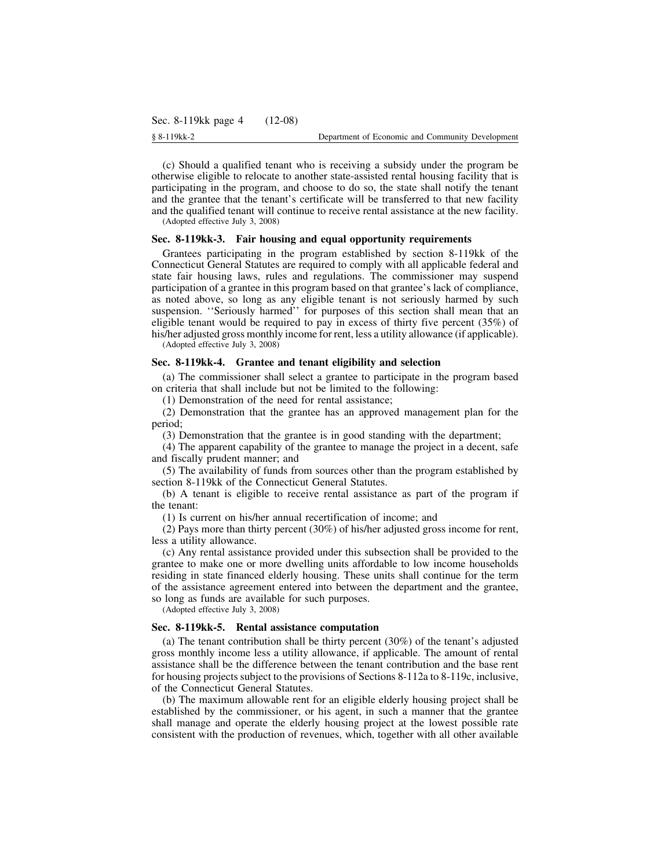(c) Should a qualified tenant who is receiving a subsidy under the program be otherwise eligible to relocate to another state-assisted rental housing facility that is participating in the program, and choose to do so, the state shall notify the tenant and the grantee that the tenant's certificate will be transferred to that new facility and the qualified tenant will continue to receive rental assistance at the new facility. (Adopted effective July 3, 2008)

**Sec. 8-119kk-3. Fair housing and equal opportunity requirements**

Grantees participating in the program established by section 8-119kk of the Connecticut General Statutes are required to comply with all applicable federal and state fair housing laws, rules and regulations. The commissioner may suspend participation of a grantee in this program based on that grantee's lack of compliance, as noted above, so long as any eligible tenant is not seriously harmed by such suspension. "Seriously harmed" for purposes of this section shall mean that an eligible tenant would be required to pay in excess of thirty five percent (35%) of his/her adjusted gross monthly income for rent, less a utility allowance (if applicable).

(Adopted effective July 3, 2008)

#### **Sec. 8-119kk-4. Grantee and tenant eligibility and selection**

(a) The commissioner shall select a grantee to participate in the program based on criteria that shall include but not be limited to the following:

(1) Demonstration of the need for rental assistance;

(2) Demonstration that the grantee has an approved management plan for the period;

(3) Demonstration that the grantee is in good standing with the department;

(4) The apparent capability of the grantee to manage the project in a decent, safe and fiscally prudent manner; and

(5) The availability of funds from sources other than the program established by section 8-119kk of the Connecticut General Statutes.

(b) A tenant is eligible to receive rental assistance as part of the program if the tenant:

(1) Is current on his/her annual recertification of income; and

(2) Pays more than thirty percent (30%) of his/her adjusted gross income for rent, less a utility allowance.

(c) Any rental assistance provided under this subsection shall be provided to the grantee to make one or more dwelling units affordable to low income households residing in state financed elderly housing. These units shall continue for the term of the assistance agreement entered into between the department and the grantee, so long as funds are available for such purposes.

(Adopted effective July 3, 2008)

#### **Sec. 8-119kk-5. Rental assistance computation**

(a) The tenant contribution shall be thirty percent (30%) of the tenant's adjusted gross monthly income less a utility allowance, if applicable. The amount of rental assistance shall be the difference between the tenant contribution and the base rent for housing projects subject to the provisions of Sections 8-112a to 8-119c, inclusive, of the Connecticut General Statutes.

(b) The maximum allowable rent for an eligible elderly housing project shall be established by the commissioner, or his agent, in such a manner that the grantee shall manage and operate the elderly housing project at the lowest possible rate consistent with the production of revenues, which, together with all other available